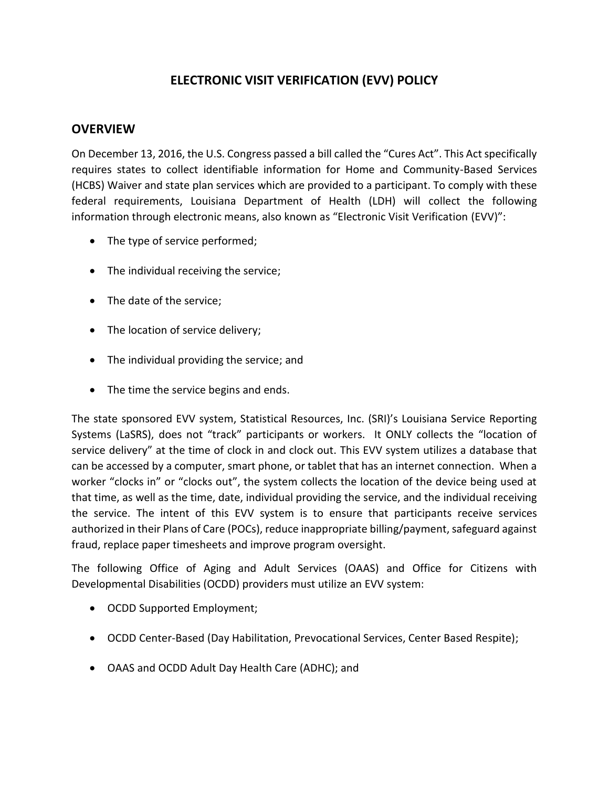# **ELECTRONIC VISIT VERIFICATION (EVV) POLICY**

#### **OVERVIEW**

On December 13, 2016, the U.S. Congress passed a bill called the "Cures Act". This Act specifically requires states to collect identifiable information for Home and Community-Based Services (HCBS) Waiver and state plan services which are provided to a participant. To comply with these federal requirements, Louisiana Department of Health (LDH) will collect the following information through electronic means, also known as "Electronic Visit Verification (EVV)":

- The type of service performed;
- The individual receiving the service;
- The date of the service;
- The location of service delivery;
- The individual providing the service; and
- The time the service begins and ends.

The state sponsored EVV system, Statistical Resources, Inc. (SRI)'s Louisiana Service Reporting Systems (LaSRS), does not "track" participants or workers. It ONLY collects the "location of service delivery" at the time of clock in and clock out. This EVV system utilizes a database that can be accessed by a computer, smart phone, or tablet that has an internet connection. When a worker "clocks in" or "clocks out", the system collects the location of the device being used at that time, as well as the time, date, individual providing the service, and the individual receiving the service. The intent of this EVV system is to ensure that participants receive services authorized in their Plans of Care (POCs), reduce inappropriate billing/payment, safeguard against fraud, replace paper timesheets and improve program oversight.

The following Office of Aging and Adult Services (OAAS) and Office for Citizens with Developmental Disabilities (OCDD) providers must utilize an EVV system:

- OCDD Supported Employment;
- OCDD Center-Based (Day Habilitation, Prevocational Services, Center Based Respite);
- OAAS and OCDD Adult Day Health Care (ADHC); and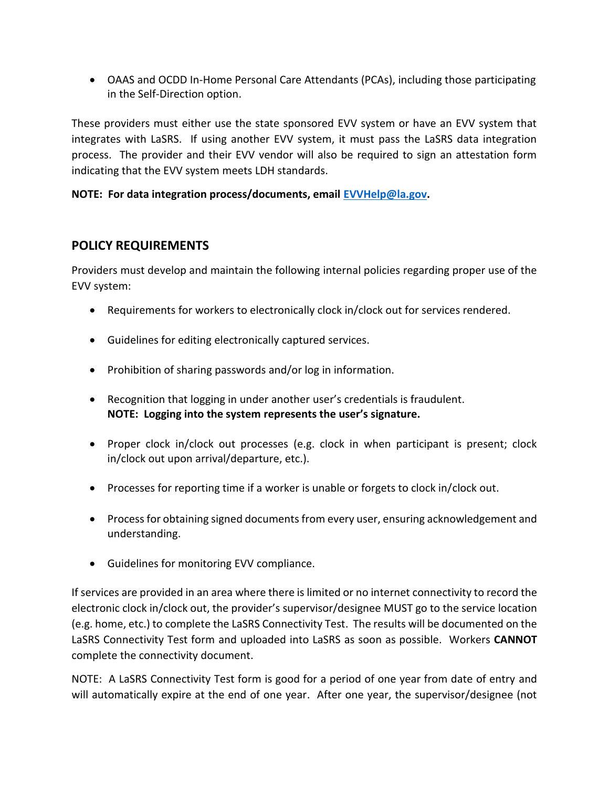OAAS and OCDD In-Home Personal Care Attendants (PCAs), including those participating in the Self-Direction option.

These providers must either use the state sponsored EVV system or have an EVV system that integrates with LaSRS. If using another EVV system, it must pass the LaSRS data integration process. The provider and their EVV vendor will also be required to sign an attestation form indicating that the EVV system meets LDH standards.

**NOTE: For data integration process/documents, email [EVVHelp@la.gov.](mailto:EVVHelp@la.gov)** 

## **POLICY REQUIREMENTS**

Providers must develop and maintain the following internal policies regarding proper use of the EVV system:

- Requirements for workers to electronically clock in/clock out for services rendered.
- Guidelines for editing electronically captured services.
- Prohibition of sharing passwords and/or log in information.
- Recognition that logging in under another user's credentials is fraudulent. **NOTE: Logging into the system represents the user's signature.**
- Proper clock in/clock out processes (e.g. clock in when participant is present; clock in/clock out upon arrival/departure, etc.).
- Processes for reporting time if a worker is unable or forgets to clock in/clock out.
- Process for obtaining signed documents from every user, ensuring acknowledgement and understanding.
- Guidelines for monitoring EVV compliance.

If services are provided in an area where there is limited or no internet connectivity to record the electronic clock in/clock out, the provider's supervisor/designee MUST go to the service location (e.g. home, etc.) to complete the LaSRS Connectivity Test. The results will be documented on the LaSRS Connectivity Test form and uploaded into LaSRS as soon as possible. Workers **CANNOT**  complete the connectivity document.

NOTE: A LaSRS Connectivity Test form is good for a period of one year from date of entry and will automatically expire at the end of one year. After one year, the supervisor/designee (not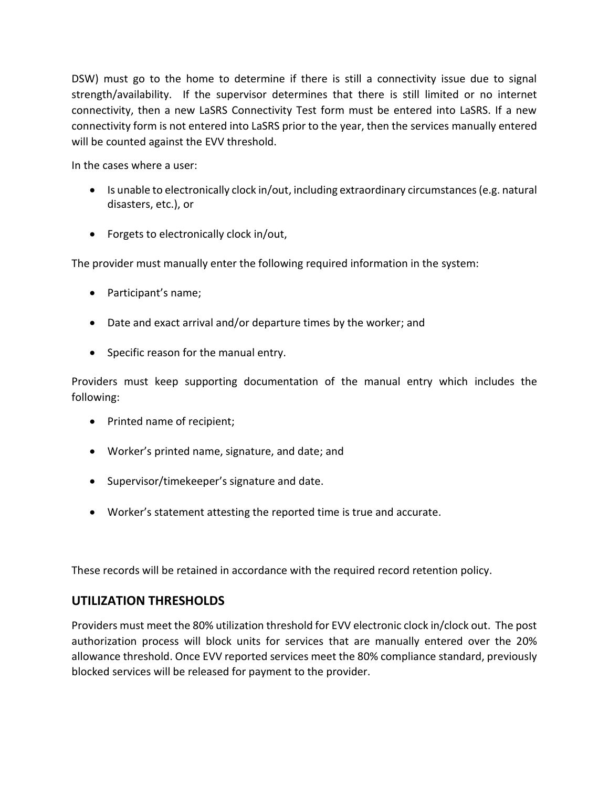DSW) must go to the home to determine if there is still a connectivity issue due to signal strength/availability. If the supervisor determines that there is still limited or no internet connectivity, then a new LaSRS Connectivity Test form must be entered into LaSRS. If a new connectivity form is not entered into LaSRS prior to the year, then the services manually entered will be counted against the EVV threshold.

In the cases where a user:

- Is unable to electronically clock in/out, including extraordinary circumstances (e.g. natural disasters, etc.), or
- Forgets to electronically clock in/out,

The provider must manually enter the following required information in the system:

- Participant's name;
- Date and exact arrival and/or departure times by the worker; and
- Specific reason for the manual entry.

Providers must keep supporting documentation of the manual entry which includes the following:

- Printed name of recipient;
- Worker's printed name, signature, and date; and
- Supervisor/timekeeper's signature and date.
- Worker's statement attesting the reported time is true and accurate.

These records will be retained in accordance with the required record retention policy.

### **UTILIZATION THRESHOLDS**

Providers must meet the 80% utilization threshold for EVV electronic clock in/clock out. The post authorization process will block units for services that are manually entered over the 20% allowance threshold. Once EVV reported services meet the 80% compliance standard, previously blocked services will be released for payment to the provider.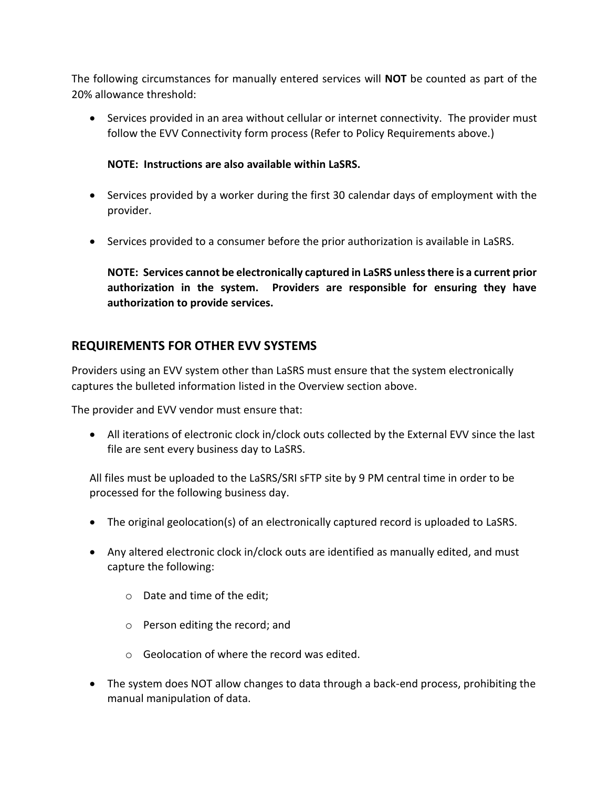The following circumstances for manually entered services will **NOT** be counted as part of the 20% allowance threshold:

• Services provided in an area without cellular or internet connectivity. The provider must follow the EVV Connectivity form process (Refer to Policy Requirements above.)

#### **NOTE: Instructions are also available within LaSRS.**

- Services provided by a worker during the first 30 calendar days of employment with the provider.
- Services provided to a consumer before the prior authorization is available in LaSRS.

**NOTE: Services cannot be electronically captured in LaSRS unless there is a current prior authorization in the system. Providers are responsible for ensuring they have authorization to provide services.**

### **REQUIREMENTS FOR OTHER EVV SYSTEMS**

Providers using an EVV system other than LaSRS must ensure that the system electronically captures the bulleted information listed in the Overview section above.

The provider and EVV vendor must ensure that:

 All iterations of electronic clock in/clock outs collected by the External EVV since the last file are sent every business day to LaSRS.

All files must be uploaded to the LaSRS/SRI sFTP site by 9 PM central time in order to be processed for the following business day.

- The original geolocation(s) of an electronically captured record is uploaded to LaSRS.
- Any altered electronic clock in/clock outs are identified as manually edited, and must capture the following:
	- o Date and time of the edit;
	- o Person editing the record; and
	- o Geolocation of where the record was edited.
- The system does NOT allow changes to data through a back-end process, prohibiting the manual manipulation of data.